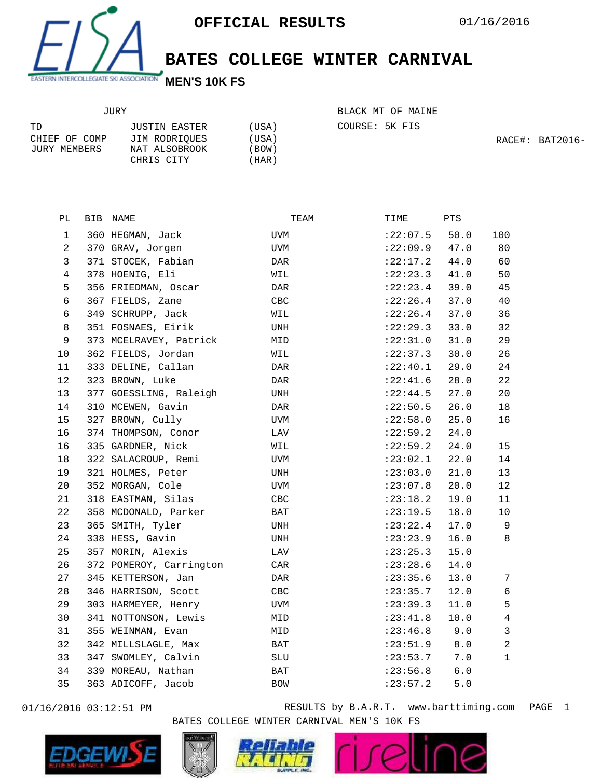

**BATES COLLEGE WINTER CARNIVAL**

| JURY          |               |       |
|---------------|---------------|-------|
| TD.           | JUSTIN EASTER | (USA) |
| CHIEF OF COMP | JIM RODRIOUES | (USA) |
| JURY MEMBERS  | NAT ALSOBROOK | (BOW) |
|               | CHRIS CITY    | (HAR) |

BLACK MT OF MAINE

COURSE: 5K FIS

RACE#: BAT2016-

| РL | BIB NAME                | TEAM       | TIME       | PTS   |                  |
|----|-------------------------|------------|------------|-------|------------------|
| 1  | 360 HEGMAN, Jack        | <b>UVM</b> | : 22:07.5  | 50.0  | 100              |
| 2  | 370 GRAV, Jorgen        | UVM        | :22:09.9   | 47.0  | 80               |
| 3  | 371 STOCEK, Fabian      | DAR        | :22:17.2   | 44.0  | 60               |
| 4  | 378 HOENIG, Eli         | WIL        | : 22: 23.3 | 41.0  | 50               |
| 5  | 356 FRIEDMAN, Oscar     | DAR        | : 22: 23.4 | 39.0  | 45               |
| 6  | 367 FIELDS, Zane        | CBC        | : 22:26.4  | 37.0  | 40               |
| 6  | 349 SCHRUPP, Jack       | WIL        | : 22:26.4  | 37.0  | 36               |
| 8  | 351 FOSNAES, Eirik      | UNH        | :22:29.3   | 33.0  | 32               |
| 9  | 373 MCELRAVEY, Patrick  | MID        | :22:31.0   | 31.0  | 29               |
| 10 | 362 FIELDS, Jordan      | WIL        | : 22: 37.3 | 30.0  | 26               |
| 11 | 333 DELINE, Callan      | DAR        | :22:40.1   | 29.0  | 24               |
| 12 | 323 BROWN, Luke         | DAR        | : 22: 41.6 | 28.0  | 22               |
| 13 | 377 GOESSLING, Raleigh  | UNH        | : 22: 44.5 | 27.0  | 20               |
| 14 | 310 MCEWEN, Gavin       | DAR        | :22:50.5   | 26.0  | 18               |
| 15 | 327 BROWN, Cully        | UVM        | :22:58.0   | 25.0  | 16               |
| 16 | 374 THOMPSON, Conor     | LAV        | :22:59.2   | 24.0  |                  |
| 16 | 335 GARDNER, Nick       | WIL        | : 22:59.2  | 24.0  | 15               |
| 18 | 322 SALACROUP, Remi     | UVM        | : 23:02.1  | 22.0  | 14               |
| 19 | 321 HOLMES, Peter       | UNH        | : 23:03.0  | 21.0  | 13               |
| 20 | 352 MORGAN, Cole        | UVM        | :23:07.8   | 20.0  | 12               |
| 21 | 318 EASTMAN, Silas      | CBC        | : 23: 18.2 | 19.0  | 11               |
| 22 | 358 MCDONALD, Parker    | BAT        | : 23:19.5  | 18.0  | 10               |
| 23 | 365 SMITH, Tyler        | UNH        | : 23: 22.4 | 17.0  | 9                |
| 24 | 338 HESS, Gavin         | UNH        | : 23: 23.9 | 16.0  | 8                |
| 25 | 357 MORIN, Alexis       | LAV        | : 23: 25.3 | 15.0  |                  |
| 26 | 372 POMEROY, Carrington | CAR        | : 23:28.6  | 14.0  |                  |
| 27 | 345 KETTERSON, Jan      | DAR        | : 23:35.6  | 13.0  | $\boldsymbol{7}$ |
| 28 | 346 HARRISON, Scott     | CBC        | : 23:35.7  | 12.0  | 6                |
| 29 | 303 HARMEYER, Henry     | UVM        | : 23:39.3  | 11.0  | 5                |
| 30 | 341 NOTTONSON, Lewis    | MID        | : 23: 41.8 | 10.0  | $\overline{4}$   |
| 31 | 355 WEINMAN, Evan       | MID        | : 23:46.8  | 9.0   | 3                |
| 32 | 342 MILLSLAGLE, Max     | BAT        | : 23:51.9  | $8.0$ | 2                |
| 33 | 347 SWOMLEY, Calvin     | SLU        | : 23:53.7  | 7.0   | $\mathbf{1}$     |
| 34 | 339 MOREAU, Nathan      | BAT        | : 23:56.8  | 6.0   |                  |
| 35 | 363 ADICOFF, Jacob      | <b>BOW</b> | : 23: 57.2 | $5.0$ |                  |
|    |                         |            |            |       |                  |



01/16/2016 03:12:51 PM RESULTS by B.A.R.T. www.barttiming.com PAGE 1 BATES COLLEGE WINTER CARNIVAL MEN'S 10K FS